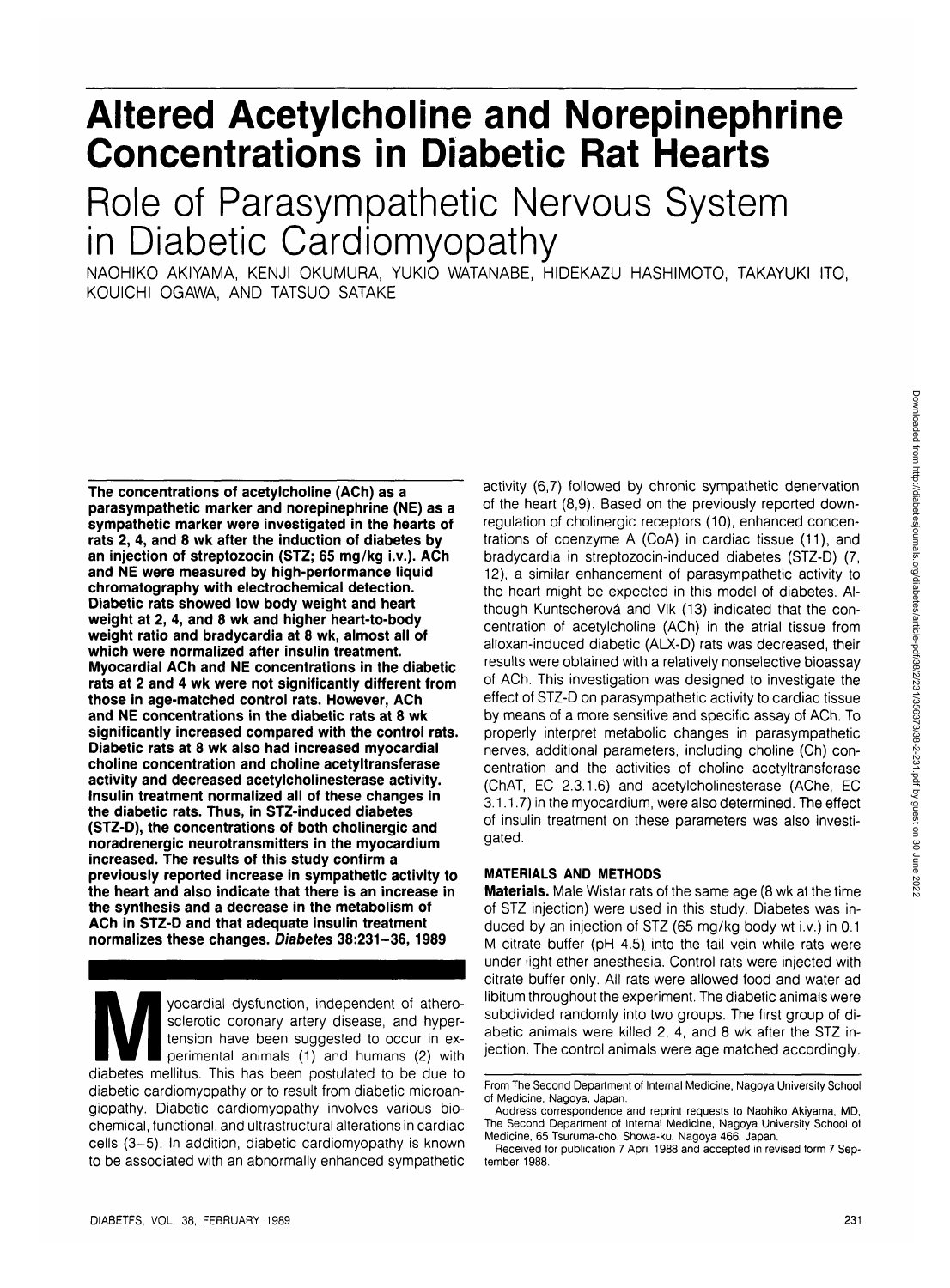# **Altered Acetylcholine and Norepinephrine Concentrations in Diabetic Rat Hearts**

## Role of Parasympathetic Nervous System in Diabetic Cardiomyopathy

NAOHIKO AKIYAMA, KENJI OKUMURA, YUKIO WATANABE, HIDEKAZU HASHIMOTO, TAKAYUKI ITO, KOUICHI OGAWA, AND TATSUO SATAKE

**The concentrations of acetylcholine (ACh) as a parasympathetic marker and norepinephrine (NE) as a sympathetic marker were investigated in the hearts of rats 2, 4, and 8 wk after the induction of diabetes by an injection of streptozocin (STZ; 65 mg/kg i.v.). ACh and NE were measured by high-performance liquid chromatography with electrochemical detection. Diabetic rats showed low body weight and heart weight at 2, 4, and 8 wk and higher heart-to-body weight ratio and bradycardia at 8 wk, almost all of which were normalized after insulin treatment. Myocardial ACh and NE concentrations in the diabetic rats at 2 and 4 wk were not significantly different from those in age-matched control rats. However, ACh and NE concentrations in the diabetic rats at 8 wk significantly increased compared with the control rats. Diabetic rats at 8 wk also had increased myocardial choline concentration and choline acetyltransferase activity and decreased acetylcholinesterase activity. Insulin treatment normalized all of these changes in the diabetic rats. Thus, in STZ-induced diabetes (STZ-D), the concentrations of both cholinergic and noradrenergic neurotransmitters in the myocardium increased. The results of this study confirm a previously reported increase in sympathetic activity to the heart and also indicate that there is an increase in the synthesis and a decrease in the metabolism of ACh in STZ-D and that adequate insulin treatment normalizes these changes. Diabetes 38:231-36,1989**

yocardial dysfunction, independent of athero-<br>sclerotic coronary artery disease, and hyper-<br>tension have been suggested to occur in ex-<br>perimental animals (1) and humans (2) with<br>diabetes mellitus. This has been postulated sclerotic coronary artery disease, and hypertension have been suggested to occur in experimental animals (1) and humans (2) with diabetic cardiomyopathy or to result from diabetic microangiopathy. Diabetic cardiomyopathy involves various biochemical, functional, and ultrastructural alterations in cardiac cells (3-5). In addition, diabetic cardiomyopathy is known to be associated with an abnormally enhanced sympathetic activity (6,7) followed by chronic sympathetic denervation of the heart (8,9). Based on the previously reported downregulation of cholinergic receptors (10), enhanced concentrations of coenzyme A (CoA) in cardiac tissue (11), and bradycardia in streptozocin-induced diabetes (STZ-D) (7, 12), a similar enhancement of parasympathetic activity to the heart might be expected in this model of diabetes. Although Kuntscherová and Vlk (13) indicated that the concentration of acetylcholine (ACh) in the atrial tissue from alloxan-induced diabetic (ALX-D) rats was decreased, their results were obtained with a relatively nonselective bioassay of ACh. This investigation was designed to investigate the effect of STZ-D on parasympathetic activity to cardiac tissue by means of a more sensitive and specific assay of ACh. To properly interpret metabolic changes in parasympathetic nerves, additional parameters, including choline (Ch) concentration and the activities of choline acetyltransferase (ChAT, EC 2.3.1.6) and acetylcholinesterase (AChe, EC 3.1.1.7) in the myocardium, were also determined. The effect of insulin treatment on these parameters was also investigated.

## **MATERIALS AND METHODS**

**Materials.** Male Wistar rats of the same age (8 wk at the time of STZ injection) were used in this study. Diabetes was induced by an injection of STZ (65 mg/kg body wt i.v.) in 0.1 M citrate buffer (pH 4.5). into the tail vein while rats were under light ether anesthesia. Control rats were injected with citrate buffer only. All rats were allowed food and water ad libitum throughout the experiment. The diabetic animals were subdivided randomly into two groups. The first group of diabetic animals were killed 2, 4, and 8 wk after the STZ injection. The control animals were age matched accordingly.

From The Second Department of Internal Medicine, Nagoya University School of Medicine, Nagoya, Japan.

Address correspondence and reprint requests to Naohiko Akiyama, MD, The Second Department of Internal Medicine, Nagoya University School of Medicine, 65 Tsuruma-cho, Showa-ku, Nagoya 466, Japan.

Received for publication 7 April 1988 and accepted in revised form 7 September 1988.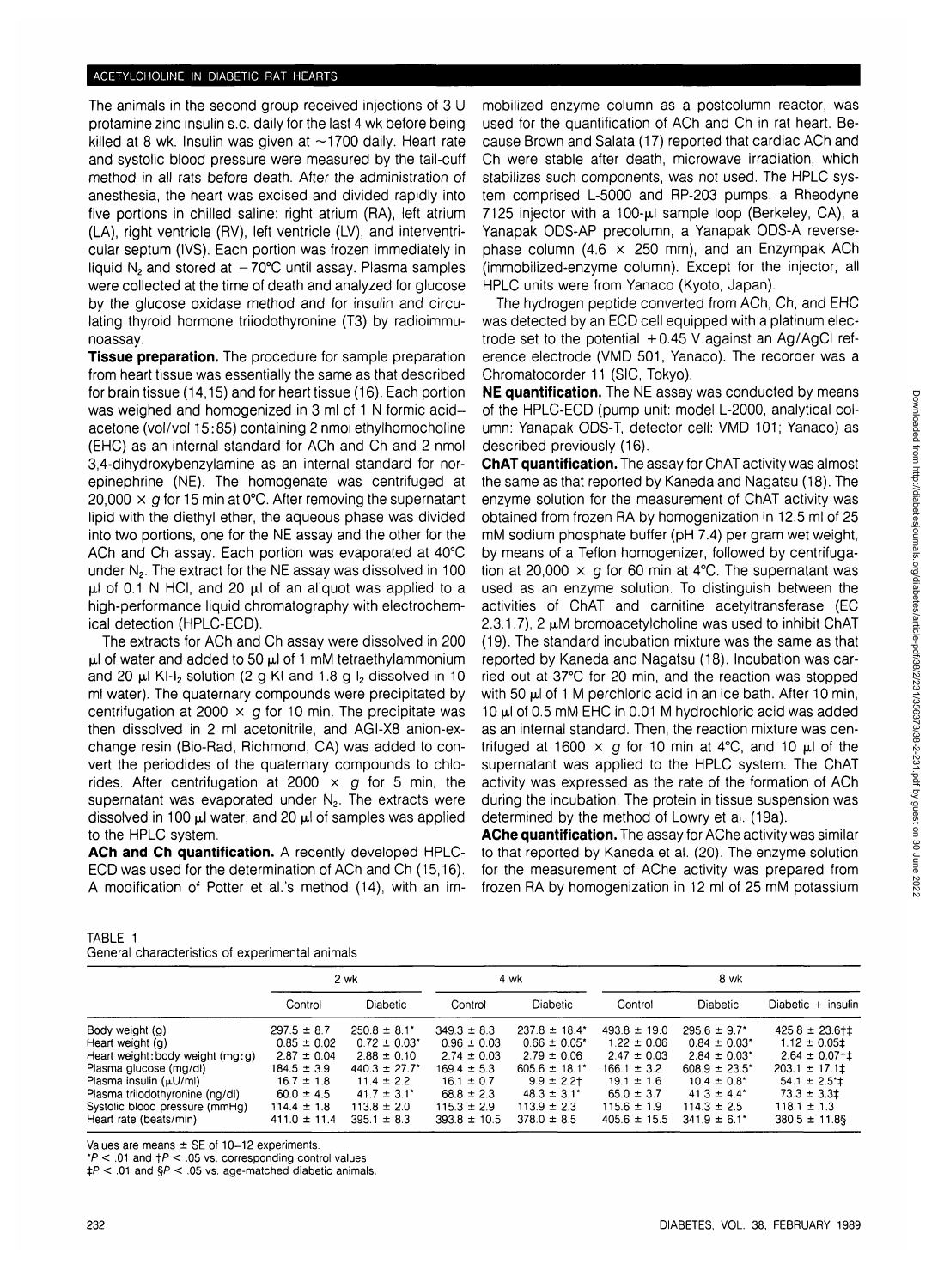## ACETYLCHOLINE IN DIABETIC RAT HEARTS

The animals in the second group received injections of 3 U protamine zinc insulin s.c. daily for the last 4 wk before being killed at 8 wk. Insulin was given at  $\sim$ 1700 daily. Heart rate and systolic blood pressure were measured by the tail-cuff method in all rats before death. After the administration of anesthesia, the heart was excised and divided rapidly into five portions in chilled saline: right atrium (RA), left atrium (LA), right ventricle (RV), left ventricle (LV), and interventricular septum (IVS). Each portion was frozen immediately in liquid  $N_2$  and stored at  $-70^{\circ}$ C until assay. Plasma samples were collected at the time of death and analyzed for glucose by the glucose oxidase method and for insulin and circulating thyroid hormone triiodothyronine (T3) by radioimmunoassay.

**Tissue preparation.** The procedure for sample preparation from heart tissue was essentially the same as that described for brain tissue (14,15) and for heart tissue (16). Each portion was weighed and homogenized in 3 ml of 1 N formic acidacetone (vol/vol 15:85) containing 2 nmol ethylhomocholine (EHC) as an internal standard for ACh and Ch and 2 nmol 3,4-dihydroxybenzylamine as an internal standard for norepinephrine (NE). The homogenate was centrifuged at 20,000  $\times$  g for 15 min at 0°C. After removing the supernatant lipid with the diethyl ether, the aqueous phase was divided into two portions, one for the NE assay and the other for the ACh and Ch assay. Each portion was evaporated at 40°C under N2. The extract for the NE assay was dissolved in 100  $\mu$ l of 0.1 N HCI, and 20  $\mu$ l of an aliquot was applied to a high-performance liquid chromatography with electrochemical detection (HPLC-ECD).

The extracts for ACh and Ch assay were dissolved in 200  $\mu$ l of water and added to 50  $\mu$ l of 1 mM tetraethylammonium and 20  $\mu$ I KI-I<sub>2</sub> solution (2 g KI and 1.8 g I<sub>2</sub> dissolved in 10 ml water). The quaternary compounds were precipitated by centrifugation at 2000  $\times$  g for 10 min. The precipitate was then dissolved in 2 ml acetonitrile, and AGI-X8 anion-exchange resin (Bio-Rad, Richmond, CA) was added to convert the periodides of the quaternary compounds to chlorides. After centrifugation at 2000  $\times$  g for 5 min, the supernatant was evaporated under  $N_2$ . The extracts were dissolved in 100  $\mu$ l water, and 20  $\mu$ l of samples was applied to the HPLC system.

**ACh and Ch quantification.** A recently developed HPLC-ECD was used for the determination of ACh and Ch (15,16). A modification of Potter et al.'s method (14), with an immobilized enzyme column as a postcolumn reactor, was used for the quantification of ACh and Ch in rat heart. Because Brown and Salata (17) reported that cardiac ACh and Ch were stable after death, microwave irradiation, which stabilizes such components, was not used. The HPLC system comprised L-5000 and RP-203 pumps, a Rheodyne 7125 injector with a 100- $\mu$ I sample loop (Berkeley, CA), a Yanapak ODS-AP precolumn, a Yanapak ODS-A reversephase column (4.6  $\times$  250 mm), and an Enzympak ACh (immobilized-enzyme column). Except for the injector, all HPLC units were from Yanaco (Kyoto, Japan).

The hydrogen peptide converted from ACh, Ch, and EHC was detected by an ECD cell equipped with a platinum electrode set to the potential  $+0.45$  V against an Ag/AgCI reference electrode (VMD 501, Yanaco). The recorder was a Chromatocorder 11 (SIC, Tokyo).

**NE quantification.** The NE assay was conducted by means of the HPLC-ECD (pump unit: model L-2000, analytical column: Yanapak ODS-T, detector cell: VMD 101; Yanaco) as described previously (16).

**ChAT quantification.** The assay for ChAT activity was almost the same as that reported by Kaneda and Nagatsu (18). The enzyme solution for the measurement of ChAT activity was obtained from frozen RA by homogenization in 12.5 ml of 25 mM sodium phosphate buffer (pH 7.4) per gram wet weight, by means of a Teflon homogenizer, followed by centrifugation at 20,000  $\times$  g for 60 min at 4°C. The supernatant was used as an enzyme solution. To distinguish between the activities of ChAT and carnitine acetyltransferase (EC 2.3.1.7), 2  $\mu$ M bromoacetylcholine was used to inhibit ChAT (19). The standard incubation mixture was the same as that reported by Kaneda and Nagatsu (18). Incubation was carried out at 37°C for 20 min, and the reaction was stopped with 50  $\mu$  of 1 M perchloric acid in an ice bath. After 10 min, 10  $\mu$ I of 0.5 mM EHC in 0.01 M hydrochloric acid was added as an internal standard. Then, the reaction mixture was centrifuged at 1600  $\times$  g for 10 min at 4°C, and 10  $\mu$ I of the supernatant was applied to the HPLC system. The ChAT activity was expressed as the rate of the formation of ACh during the incubation. The protein in tissue suspension was determined by the method of Lowry et al. (19a).

**AChe quantification.** The assay for AChe activity was similar to that reported by Kaneda et al. (20). The enzyme solution for the measurement of AChe activity was prepared from frozen RA by homogenization in 12 ml of 25 mM potassium

| TABLE 1                                         |  |
|-------------------------------------------------|--|
| General characteristics of experimental animals |  |

|                                 | 2 wk             |                              | 4 wk             |                              | 8 wk             |                              |                             |
|---------------------------------|------------------|------------------------------|------------------|------------------------------|------------------|------------------------------|-----------------------------|
|                                 | Control          | <b>Diabetic</b>              | Control          | Diabetic                     | Control          | <b>Diabetic</b>              | Diabetic + insulin          |
| Body weight (g)                 | $297.5 \pm 8.7$  | $250.8 \pm 8.1^{\circ}$      | $349.3 \pm 8.3$  | $237.8 \pm 18.4^*$           | $493.8 \pm 19.0$ | $295.6 \pm 9.7^*$            | $425.8 \pm 23.6$ † $\pm$    |
| Heart weight (g)                | $0.85 \pm 0.02$  | $0.72 \pm 0.03$ <sup>*</sup> | $0.96 \pm 0.03$  | $0.66 \pm 0.05$ <sup>*</sup> | $1.22 \pm 0.06$  | $0.84 \pm 0.03$ <sup>*</sup> | $1.12 \pm 0.05$             |
| Heart weight:body weight (mg:g) | $2.87 \pm 0.04$  | $2.88 \pm 0.10$              | $2.74 \pm 0.03$  | $2.79 \pm 0.06$              | $2.47 \pm 0.03$  | $2.84 \pm 0.03^*$            | $2.64 \pm 0.07$ † ‡         |
| Plasma glucose (mg/dl)          | $184.5 \pm 3.9$  | $440.3 \pm 27.7$             | $169.4 \pm 5.3$  | $605.6 \pm 18.1^*$           | $166.1 \pm 3.2$  | $608.9 \pm 23.5^*$           | $203.1 \pm 17.1$            |
| Plasma insulin (µU/ml)          | $16.7 \pm 1.8$   | $11.4 \pm 2.2$               | $16.1 \pm 0.7$   | $9.9 \pm 2.2$                | $19.1 \pm 1.6$   | $10.4 \pm 0.8^*$             | $54.1 \pm 2.5$ <sup>+</sup> |
| Plasma triiodothyronine (ng/dl) | $60.0 \pm 4.5$   | $41.7 \pm 3.1$ <sup>*</sup>  | $68.8 \pm 2.3$   | $48.3 \pm 3.1^*$             | $65.0 \pm 3.7$   | $41.3 \pm 4.4^*$             | $73.3 \pm 3.3$              |
| Systolic blood pressure (mmHg)  | $114.4 \pm 1.8$  | $113.8 \pm 2.0$              | $115.3 \pm 2.9$  | $113.9 \pm 2.3$              | $115.6 \pm 1.9$  | $114.3 \pm 2.5$              | $118.1 \pm 1.3$             |
| Heart rate (beats/min)          | $411.0 \pm 11.4$ | $395.1 \pm 8.3$              | $393.8 \pm 10.5$ | $378.0 \pm 8.5$              | $405.6 \pm 15.5$ | $341.9 \pm 6.1^*$            | $380.5 \pm 11.8$            |

Values are means  $\pm$  SE of 10-12 experiments.

 $*P < 0.01$  and  $\uparrow P < 0.05$  vs. corresponding control values.

 $\sharp P < .01$  and  $\S P < .05$  vs. age-matched diabetic animals.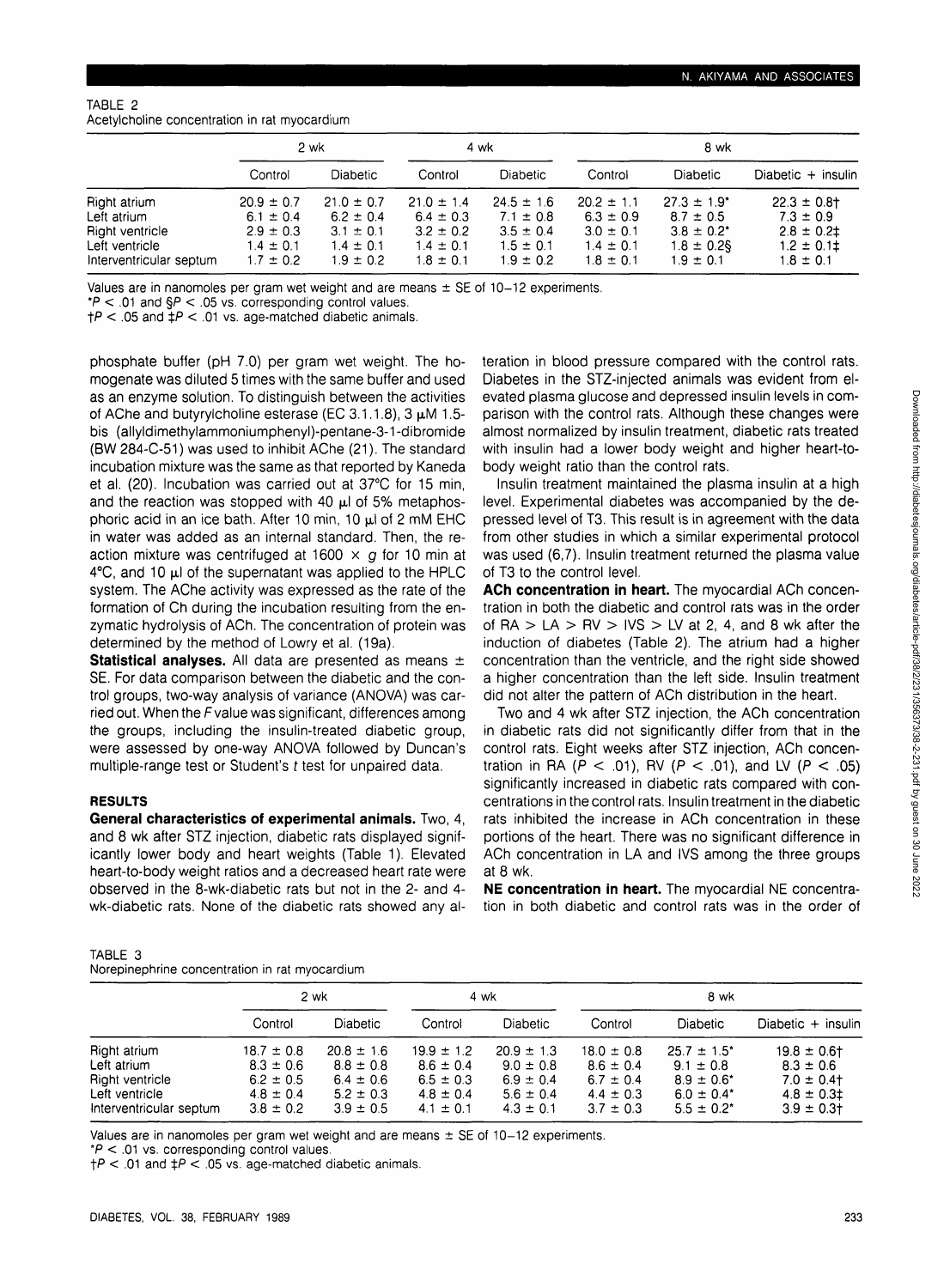## TABLE 2 Acetylcholine concentration in rat myocardium

|                                                                                             | 2 wk                                                                               |                                                                                    | 4 wk                                                                               |                                                                                    | 8 wk                                                                               |                                                                                                     |                                                                                       |
|---------------------------------------------------------------------------------------------|------------------------------------------------------------------------------------|------------------------------------------------------------------------------------|------------------------------------------------------------------------------------|------------------------------------------------------------------------------------|------------------------------------------------------------------------------------|-----------------------------------------------------------------------------------------------------|---------------------------------------------------------------------------------------|
|                                                                                             | Control                                                                            | <b>Diabetic</b>                                                                    | Control                                                                            | <b>Diabetic</b>                                                                    | Control                                                                            | <b>Diabetic</b>                                                                                     | Diabetic + insulin                                                                    |
| Right atrium<br>Left atrium<br>Right ventricle<br>Left ventricle<br>Interventricular septum | $20.9 \pm 0.7$<br>$6.1 \pm 0.4$<br>$2.9 \pm 0.3$<br>$1.4 \pm 0.1$<br>$1.7 \pm 0.2$ | $21.0 \pm 0.7$<br>$6.2 \pm 0.4$<br>$3.1 \pm 0.1$<br>$1.4 \pm 0.1$<br>$1.9 \pm 0.2$ | $21.0 \pm 1.4$<br>$6.4 \pm 0.3$<br>$3.2 \pm 0.2$<br>$1.4 \pm 0.1$<br>$1.8 \pm 0.1$ | $24.5 \pm 1.6$<br>$7.1 \pm 0.8$<br>$3.5 \pm 0.4$<br>$1.5 \pm 0.1$<br>$1.9 \pm 0.2$ | $20.2 \pm 1.1$<br>$6.3 \pm 0.9$<br>$3.0 \pm 0.1$<br>$1.4 \pm 0.1$<br>$1.8 \pm 0.1$ | $27.3 \pm 1.9$ <sup>*</sup><br>$8.7 \pm 0.5$<br>$3.8 \pm 0.2^*$<br>$1.8 \pm 0.2$ §<br>$1.9 \pm 0.1$ | $22.3 \pm 0.8$ t<br>$7.3 \pm 0.9$<br>$2.8 \pm 0.2$<br>$1.2 \pm 0.11$<br>$1.8 \pm 0.1$ |

Values are in nanomoles per gram wet weight and are means  $\pm$  SE of 10-12 experiments.

 $*P < .01$  and  $\$P < .05$  vs. corresponding control values.

 $tP < 0.05$  and  $tP < 0.01$  vs. age-matched diabetic animals.

phosphate buffer (pH 7.0) per gram wet weight. The homogenate was diluted 5 times with the same buffer and used as an enzyme solution. To distinguish between the activities of AChe and butyrylcholine esterase (EC 3.1.1.8),  $3 \mu M$  1.5bis (allyldimethylammoniumphenyl)-pentane-3-1 -dibromide (BW 284-C-51) was used to inhibit AChe (21). The standard incubation mixture was the same as that reported by Kaneda et al. (20). Incubation was carried out at 37°C for 15 min, and the reaction was stopped with 40  $\mu$ l of 5% metaphosphoric acid in an ice bath. After 10 min, 10  $\mu$ l of 2 mM EHC in water was added as an internal standard. Then, the reaction mixture was centrifuged at 1600  $\times$  g for 10 min at  $4^{\circ}$ C, and 10  $\mu$ I of the supernatant was applied to the HPLC system. The AChe activity was expressed as the rate of the formation of Ch during the incubation resulting from the enzymatic hydrolysis of ACh. The concentration of protein was determined by the method of Lowry et al. (19a).

**Statistical analyses.** All data are presented as means ± SE. For data comparison between the diabetic and the control groups, two-way analysis of variance (ANOVA) was carried out. When the Fvalue was significant, differences among the groups, including the insulin-treated diabetic group, were assessed by one-way ANOVA followed by Duncan's multiple-range test or Student's t test for unpaired data.

## **RESULTS**

**General characteristics of experimental animals.** Two, 4, and 8 wk after STZ injection, diabetic rats displayed significantly lower body and heart weights (Table 1). Elevated heart-to-body weight ratios and a decreased heart rate were observed in the 8-wk-diabetic rats but not in the 2- and 4 wk-diabetic rats. None of the diabetic rats showed any al-

| TABLE 3                                        |  |
|------------------------------------------------|--|
| Norepinephrine concentration in rat myocardium |  |

teration in blood pressure compared with the control rats. Diabetes in the STZ-injected animals was evident from elevated plasma glucose and depressed insulin levels in comparison with the control rats. Although these changes were almost normalized by insulin treatment, diabetic rats treated with insulin had a lower body weight and higher heart-tobody weight ratio than the control rats.

Insulin treatment maintained the plasma insulin at a high level. Experimental diabetes was accompanied by the depressed level of T3. This result is in agreement with the data from other studies in which a similar experimental protocol was used (6,7). Insulin treatment returned the plasma value of T3 to the control level.

**ACh concentration in heart.** The myocardial ACh concentration in both the diabetic and control rats was in the order of RA  $> LA$  > RV  $> IVS$  > LV at 2, 4, and 8 wk after the induction of diabetes (Table 2). The atrium had a higher concentration than the ventricle, and the right side showed a higher concentration than the left side. Insulin treatment did not alter the pattern of ACh distribution in the heart.

Two and 4 wk after STZ injection, the ACh concentration in diabetic rats did not significantly differ from that in the control rats. Eight weeks after STZ injection, ACh concentration in RA ( $P < .01$ ), RV ( $P < .01$ ), and LV ( $P < .05$ ) significantly increased in diabetic rats compared with concentrations in the control rats. Insulin treatment in the diabetic rats inhibited the increase in ACh concentration in these portions of the heart. There was no significant difference in ACh concentration in LA and IVS among the three groups at 8 wk.

**NE concentration in heart.** The myocardial NE concentration in both diabetic and control rats was in the order of

|                                           | 2 wk                           |                                | 4 wk                           |                                | 8 wk                           |                                               |                                 |  |
|-------------------------------------------|--------------------------------|--------------------------------|--------------------------------|--------------------------------|--------------------------------|-----------------------------------------------|---------------------------------|--|
|                                           | Control                        | <b>Diabetic</b>                | Control                        | <b>Diabetic</b>                | Control                        | <b>Diabetic</b>                               | Diabetic + insulin              |  |
| Right atrium                              | $18.7 \pm 0.8$                 | $20.8 \pm 1.6$                 | $19.9 \pm 1.2$                 | $20.9 \pm 1.3$                 | $18.0 \pm 0.8$                 | $25.7 \pm 1.5^*$                              | $19.8 \pm 0.6$                  |  |
| Left atrium<br>Right ventricle            | $8.3 \pm 0.6$<br>$6.2 \pm 0.5$ | $8.8 \pm 0.8$<br>$6.4 \pm 0.6$ | $8.6 \pm 0.4$<br>$6.5 \pm 0.3$ | $9.0 \pm 0.8$<br>$6.9 \pm 0.4$ | $8.6 \pm 0.4$<br>$6.7 \pm 0.4$ | $9.1 \pm 0.8$<br>$8.9 \pm 0.6^*$              | $8.3 \pm 0.6$<br>$7.0 \pm 0.4$  |  |
| Left ventricle<br>Interventricular septum | $4.8 \pm 0.4$<br>$3.8 \pm 0.2$ | $5.2 \pm 0.3$<br>$3.9 \pm 0.5$ | $4.8 \pm 0.4$<br>$4.1 \pm 0.1$ | $5.6 \pm 0.4$<br>$4.3 \pm 0.1$ | $4.4 \pm 0.3$<br>$3.7 \pm 0.3$ | $6.0 \pm 0.4$ <sup>*</sup><br>$5.5 \pm 0.2^*$ | $4.8 \pm 0.31$<br>$3.9 \pm 0.3$ |  |

Values are in nanomoles per gram wet weight and are means  $\pm$  SE of 10-12 experiments.

 $*P < .01$  vs. corresponding control values.

 $\uparrow$ P < .01 and  $\downarrow$ P < .05 vs. age-matched diabetic animals.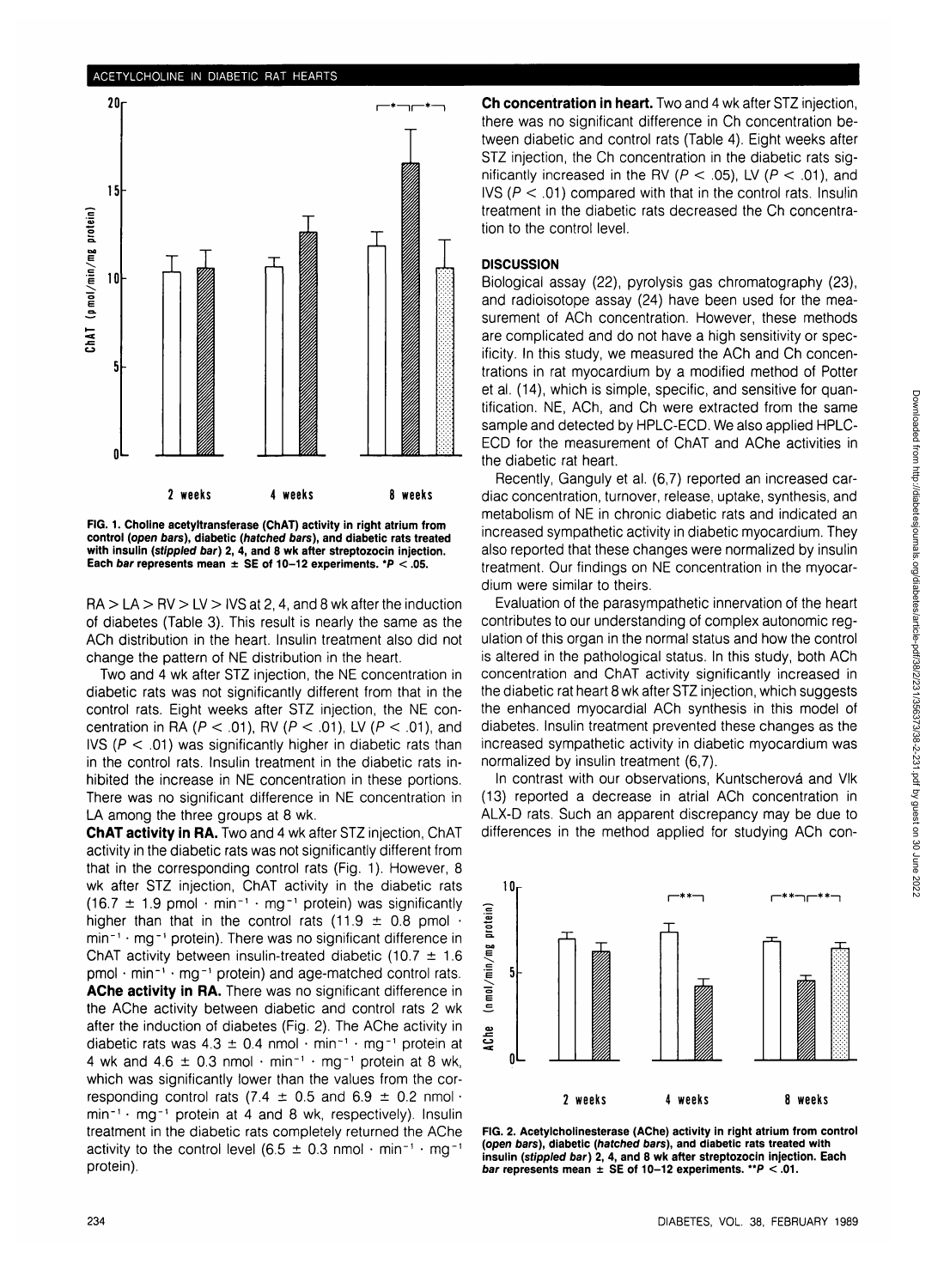#### **ACETYLCHOLINE IN DIABETIC RAT HEARTS**



**FIG. 1. Choline acetyltransferase (ChAT) activity in right atrium from control (open bars), diabetic (hatched bars), and diabetic rats treated with insulin (stippled bar) 2, 4, and 8 wk after streptozocin injection. Each bar represents mean ± SE of 10-12 experiments. \*P < .05.**

 $RA > LA > RV > LV > IV$  at 2, 4, and 8 wk after the induction of diabetes (Table 3). This result is nearly the same as the ACh distribution in the heart. Insulin treatment also did not change the pattern of NE distribution in the heart.

Two and 4 wk after STZ injection, the NE concentration in diabetic rats was not significantly different from that in the control rats. Eight weeks after STZ injection, the NE concentration in RA ( $P < .01$ ), RV ( $P < .01$ ), LV ( $P < .01$ ), and IVS ( $P < .01$ ) was significantly higher in diabetic rats than in the control rats. Insulin treatment in the diabetic rats inhibited the increase in NE concentration in these portions. There was no significant difference in NE concentration in LA among the three groups at 8 wk.

**ChAT activity in RA.** Two and 4 wk after STZ injection, ChAT activity in the diabetic rats was not significantly different from that in the corresponding control rats (Fig. 1). However, 8 wk after STZ injection, ChAT activity in the diabetic rats  $(16.7 \pm 1.9 \text{ pmol} \cdot \text{min}^{-1} \cdot \text{mg}^{-1} \text{ protein})$  was significantly higher than that in the control rats (11.9  $\pm$  0.8 pmol  $\cdot$ min<sup>-1</sup> · mg<sup>-1</sup> protein). There was no significant difference in ChAT activity between insulin-treated diabetic (10.7  $\pm$  1.6  $pmol \cdot min^{-1} \cdot mg^{-1}$  protein) and age-matched control rats. **AChe activity in RA.** There was no significant difference in the AChe activity between diabetic and control rats 2 wk after the induction of diabetes (Fig. 2). The AChe activity in diabetic rats was  $4.3 \pm 0.4$  nmol  $\cdot$  min<sup>-1</sup>  $\cdot$  mg<sup>-1</sup> protein at 4 wk and 4.6  $\pm$  0.3 nmol  $\cdot$  min<sup>-1</sup>  $\cdot$  mg<sup>-1</sup> protein at 8 wk, which was significantly lower than the values from the corresponding control rats (7.4  $\pm$  0.5 and 6.9  $\pm$  0.2 nmol  $\cdot$ min<sup>-1</sup> · mg<sup>-1</sup> protein at 4 and 8 wk, respectively). Insulin treatment in the diabetic rats completely returned the AChe activity to the control level  $(6.5 \pm 0.3 \text{ nmol} \cdot \text{min}^{-1} \cdot \text{mq}^{-1})$ protein).

**Ch concentration in heart.** Two and 4 wk after STZ injection, there was no significant difference in Ch concentration between diabetic and control rats (Table 4). Eight weeks after STZ injection, the Ch concentration in the diabetic rats significantly increased in the RV ( $P < .05$ ), LV ( $P < .01$ ), and IVS ( $P < .01$ ) compared with that in the control rats. Insulin treatment in the diabetic rats decreased the Ch concentration to the control level.

## **DISCUSSION**

Biological assay (22), pyrolysis gas chromatography (23), and radioisotope assay (24) have been used for the measurement of ACh concentration. However, these methods are complicated and do not have a high sensitivity or specificity. In this study, we measured the ACh and Ch concentrations in rat myocardium by a modified method of Potter et al. (14), which is simple, specific, and sensitive for quantification. NE, ACh, and Ch were extracted from the same sample and detected by HPLC-ECD. We also applied HPLC-ECD for the measurement of ChAT and AChe activities in the diabetic rat heart.

Recently, Ganguly et al. (6,7) reported an increased cardiac concentration, turnover, release, uptake, synthesis, and metabolism of NE in chronic diabetic rats and indicated an increased sympathetic activity in diabetic myocardium. They also reported that these changes were normalized by insulin treatment. Our findings on NE concentration in the myocardium were similar to theirs.

Evaluation of the parasympathetic innervation of the heart contributes to our understanding of complex autonomic regulation of this organ in the normal status and how the control is altered in the pathological status. In this study, both ACh concentration and ChAT activity significantly increased in the diabetic rat heart 8 wk after STZ injection, which suggests the enhanced myocardial ACh synthesis in this model of diabetes. Insulin treatment prevented these changes as the increased sympathetic activity in diabetic myocardium was normalized by insulin treatment (6,7).

In contrast with our observations, Kuntscherová and Vlk (13) reported a decrease in atrial ACh concentration in ALX-D rats. Such an apparent discrepancy may be due to differences in the method applied for studying ACh con-



**FIG. 2. Acetylcholinesterase (AChe) activity in right atrium from control (open bars), diabetic (hatched bars), and diabetic rats treated with insulin (stippled bar) 2, 4, and 8 wk after streptozocin injection. Each bar represents mean ± SE of 10-12 experiments. "P < .01.**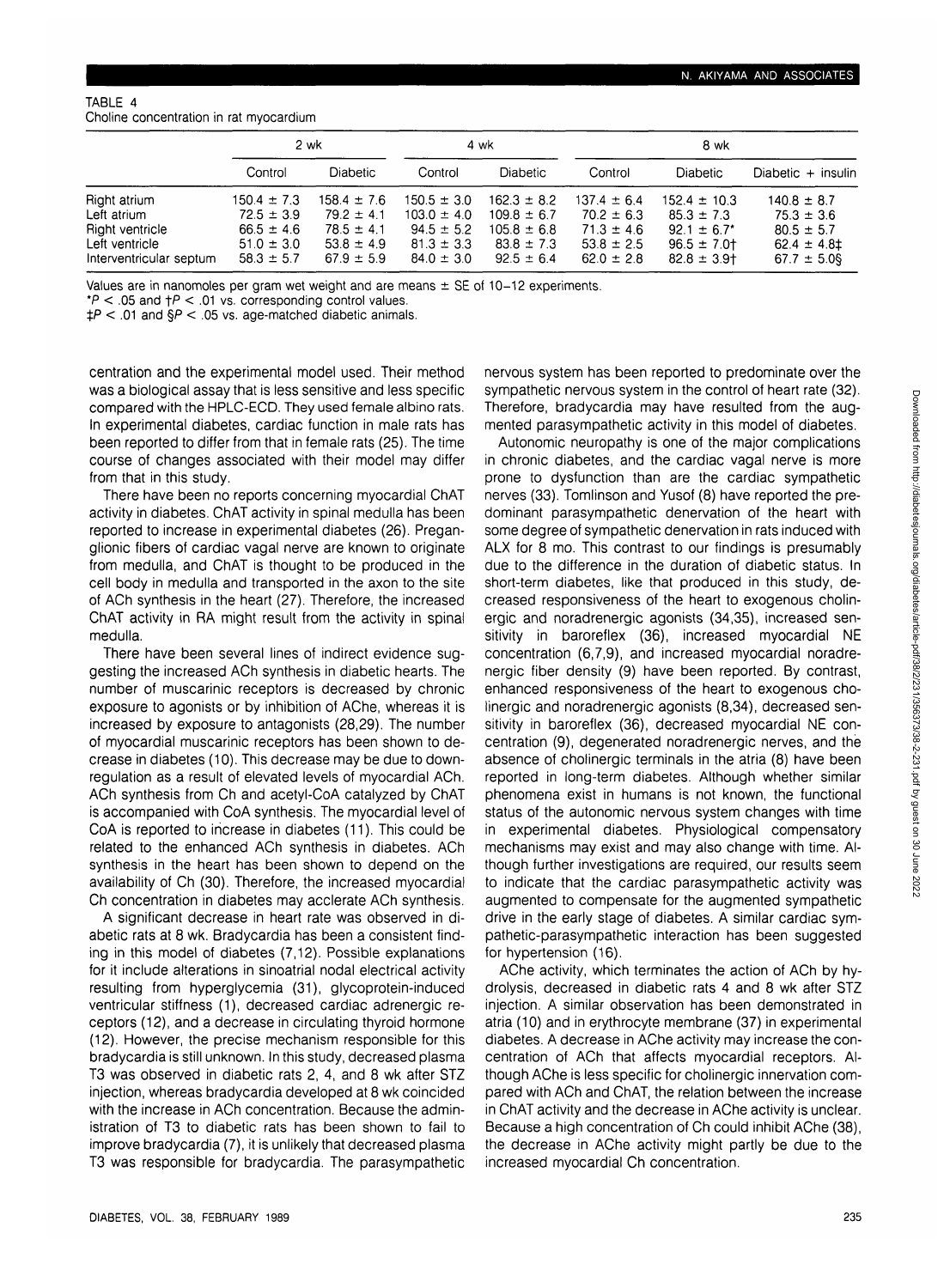#### TABLE 4 Choline concentration in rat myocardium

|                                           | 2 wk                             |                                  | 4 wk                              |                                    | 8 wk                             |                                    |                                     |
|-------------------------------------------|----------------------------------|----------------------------------|-----------------------------------|------------------------------------|----------------------------------|------------------------------------|-------------------------------------|
|                                           | Control                          | <b>Diabetic</b>                  | Control                           | Diabetic                           | Control                          | <b>Diabetic</b>                    | Diabetic $+$ insulin                |
| Right atrium                              | $150.4 \pm 7.3$                  | $158.4 \pm 7.6$                  | $150.5 \pm 3.0$                   | $162.3 \pm 8.2$                    | $137.4 \pm 6.4$                  | $152.4 \pm 10.3$                   | $140.8 \pm 8.7$                     |
| Left atrium<br>Right ventricle            | $72.5 \pm 3.9$<br>$66.5 \pm 4.6$ | $79.2 \pm 4.1$<br>$78.5 \pm 4.1$ | $103.0 \pm 4.0$<br>$94.5 \pm 5.2$ | $109.8 \pm 6.7$<br>$105.8 \pm 6.8$ | $70.2 \pm 6.3$<br>$71.3 \pm 4.6$ | $85.3 \pm 7.3$<br>$92.1 \pm 6.7^*$ | $75.3 \pm 3.6$<br>$80.5 \pm 5.7$    |
| Left ventricle<br>Interventricular septum | $51.0 \pm 3.0$<br>$58.3 \pm 5.7$ | $53.8 \pm 4.9$<br>$67.9 \pm 5.9$ | $81.3 \pm 3.3$<br>$84.0 \pm 3.0$  | $83.8 \pm 7.3$<br>$92.5 \pm 6.4$   | $53.8 \pm 2.5$<br>$62.0 \pm 2.8$ | $96.5 \pm 7.0$<br>$82.8 \pm 3.9$   | $62.4 \pm 4.81$<br>$67.7 \pm 5.0$ § |

Values are in nanomoles per gram wet weight and are means ± SE of 10-12 experiments.

 $*P < 05$  and  $\uparrow P < 01$  vs. corresponding control values.

 $\text{AP}$  < .01 and  $\text{SP}$  < .05 vs. age-matched diabetic animals.

centration and the experimental model used. Their method was a biological assay that is less sensitive and less specific compared with the HPLC-ECD. They used female albino rats. In experimental diabetes, cardiac function in male rats has been reported to differ from that in female rats (25). The time course of changes associated with their model may differ from that in this study.

There have been no reports concerning myocardial ChAT activity in diabetes. ChAT activity in spinal medulla has been reported to increase in experimental diabetes (26). Preganglionic fibers of cardiac vagal nerve are known to originate from medulla, and ChAT is thought to be produced in the cell body in medulla and transported in the axon to the site of ACh synthesis in the heart (27). Therefore, the increased ChAT activity in RA might result from the activity in spinal medulla.

There have been several lines of indirect evidence suggesting the increased ACh synthesis in diabetic hearts. The number of muscarinic receptors is decreased by chronic exposure to agonists or by inhibition of AChe, whereas it is increased by exposure to antagonists (28,29). The number of myocardial muscarinic receptors has been shown to decrease in diabetes (10). This decrease may be due to downregulation as a result of elevated levels of myocardial ACh. ACh synthesis from Ch and acetyl-CoA catalyzed by ChAT is accompanied with CoA synthesis. The myocardial level of CoA is reported to increase in diabetes (11). This could be related to the enhanced ACh synthesis in diabetes. ACh synthesis in the heart has been shown to depend on the availability of Ch (30). Therefore, the increased myocardial Ch concentration in diabetes may acclerate ACh synthesis.

A significant decrease in heart rate was observed in diabetic rats at 8 wk. Bradycardia has been a consistent finding in this model of diabetes (7,12). Possible explanations for it include alterations in sinoatrial nodal electrical activity resulting from hyperglycemia (31), glycoprotein-induced ventricular stiffness (1), decreased cardiac adrenergic receptors (12), and a decrease in circulating thyroid hormone (12). However, the precise mechanism responsible for this bradycardia is still unknown. In this study, decreased plasma T3 was observed in diabetic rats 2, 4, and 8 wk after STZ injection, whereas bradycardia developed at 8 wk coincided with the increase in ACh concentration. Because the administration of T3 to diabetic rats has been shown to fail to improve bradycardia (7), it is unlikely that decreased plasma T3 was responsible for bradycardia. The parasympathetic

nervous system has been reported to predominate over the sympathetic nervous system in the control of heart rate (32). Therefore, bradycardia may have resulted from the augmented parasympathetic activity in this model of diabetes.

Autonomic neuropathy is one of the major complications in chronic diabetes, and the cardiac vagal nerve is more prone to dysfunction than are the cardiac sympathetic nerves (33). Tomlinson and Yusof (8) have reported the predominant parasympathetic denervation of the heart with some degree of sympathetic denervation in rats induced with ALX for 8 mo. This contrast to our findings is presumably due to the difference in the duration of diabetic status. In short-term diabetes, like that produced in this study, decreased responsiveness of the heart to exogenous cholinergic and noradrenergic agonists (34,35), increased sensitivity in baroreflex (36), increased myocardial NE concentration (6,7,9), and increased myocardial noradrenergic fiber density (9) have been reported. By contrast, enhanced responsiveness of the heart to exogenous cholinergic and noradrenergic agonists (8,34), decreased sensitivity in baroreflex (36), decreased myocardial NE concentration (9), degenerated noradrenergic nerves, and the absence of cholinergic terminals in the atria (8) have been reported in long-term diabetes. Although whether similar phenomena exist in humans is not known, the functional status of the autonomic nervous system changes with time in experimental diabetes. Physiological compensatory mechanisms may exist and may also change with time. Although further investigations are required, our results seem to indicate that the cardiac parasympathetic activity was augmented to compensate for the augmented sympathetic drive in the early stage of diabetes. A similar cardiac sympathetic-parasympathetic interaction has been suggested for hypertension (16).

AChe activity, which terminates the action of ACh by hydrolysis, decreased in diabetic rats 4 and 8 wk after STZ injection. A similar observation has been demonstrated in atria (10) and in erythrocyte membrane (37) in experimental diabetes. A decrease in AChe activity may increase the concentration of ACh that affects myocardial receptors. Although AChe is less specific for cholinergic innervation compared with ACh and ChAT, the relation between the increase in ChAT activity and the decrease in AChe activity is unclear. Because a high concentration of Ch could inhibit AChe (38), the decrease in AChe activity might partly be due to the increased myocardial Ch concentration.